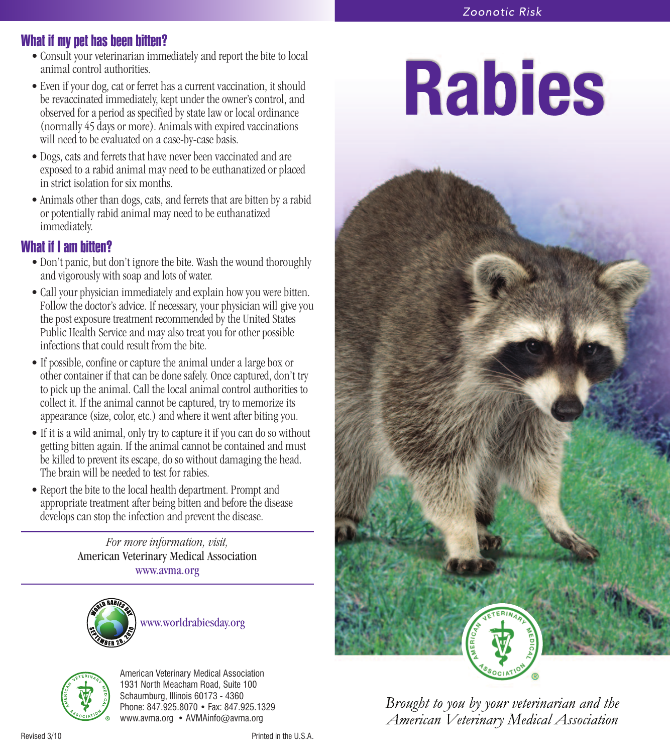# **What if my pet has been bitten?**

- Consult your veterinarian immediately and report the bite to local animal control authorities.
- Even if your dog, cat or ferret has a current vaccination, it should be revaccinated immediately, kept under the owner's control, and observed for a period as specified by state law or local ordinance (normally 45 days or more). Animals with expired vaccinations will need to be evaluated on a case-by-case basis.
- Dogs, cats and ferrets that have never been vaccinated and are exposed to a rabid animal may need to be euthanatized or placed in strict isolation for six months.
- Animals other than dogs, cats, and ferrets that are bitten by a rabid or potentially rabid animal may need to be euthanatized immediately.

## **What if I am bitten?**

- Don't panic, but don't ignore the bite. Wash the wound thoroughly and vigorously with soap and lots of water.
- Call your physician immediately and explain how you were bitten. Follow the doctor's advice. If necessary, your physician will give you the post exposure treatment recommended by the United States Public Health Service and may also treat you for other possible infections that could result from the bite.
- If possible, confine or capture the animal under a large box or other container if that can be done safely. Once captured, don't try to pick up the animal. Call the local animal control authorities to collect it. If the animal cannot be captured, try to memorize its appearance (size, color, etc.) and where it went after biting you.
- If it is a wild animal, only try to capture it if you can do so without getting bitten again. If the animal cannot be contained and must be killed to prevent its escape, do so without damaging the head. The brain will be needed to test for rabies.
- Report the bite to the local health department. Prompt and appropriate treatment after being bitten and before the disease develops can stop the infection and prevent the disease.

*For more information, visit,* American Veterinary Medical Association www.avma.org





American Veterinary Medical Association 1931 North Meacham Road, Suite 100 Schaumburg, Illinois 60173 - 4360 Phone: 847.925.8070 • Fax: 847.925.1329 www.avma.org • AVMAinfo@avma.org

# **Rabies**



Brought to you by your veterinarian and the American Veterinary Medical Association